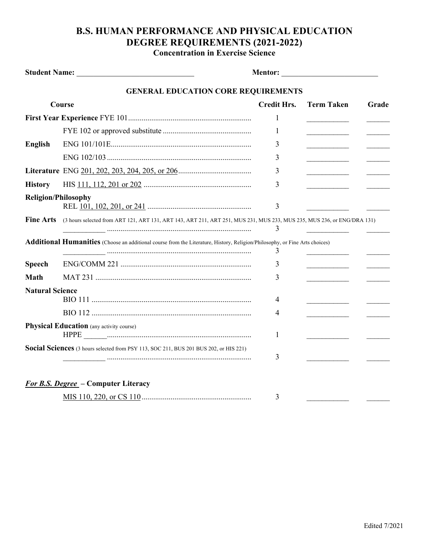## **B.S. HUMAN PERFORMANCE AND PHYSICAL EDUCATION DEGREE REQUIREMENTS (2021-2022)**

**Concentration in Exercise Science**

|                        | <b>GENERAL EDUCATION CORE REQUIREMENTS</b>                                                                                         |                    |                            |       |
|------------------------|------------------------------------------------------------------------------------------------------------------------------------|--------------------|----------------------------|-------|
| Course                 |                                                                                                                                    | <b>Credit Hrs.</b> | <b>Term Taken</b>          | Grade |
|                        |                                                                                                                                    | 1                  |                            |       |
|                        |                                                                                                                                    | 1                  |                            |       |
| <b>English</b>         |                                                                                                                                    | 3                  | the company of the company |       |
|                        |                                                                                                                                    | 3                  | ______________________     |       |
|                        |                                                                                                                                    | 3                  | ________________________   |       |
| <b>History</b>         |                                                                                                                                    | 3                  |                            |       |
|                        | <b>Religion/Philosophy</b>                                                                                                         | 3                  |                            |       |
| <b>Fine Arts</b>       | (3 hours selected from ART 121, ART 131, ART 143, ART 211, ART 251, MUS 231, MUS 233, MUS 235, MUS 236, or ENG/DRA 131)            | 3                  |                            |       |
|                        | <b>Additional Humanities</b> (Choose an additional course from the Literature, History, Religion/Philosophy, or Fine Arts choices) | 3                  |                            |       |
| <b>Speech</b>          |                                                                                                                                    | 3                  |                            |       |
| <b>Math</b>            |                                                                                                                                    | 3                  |                            |       |
| <b>Natural Science</b> |                                                                                                                                    | 4                  |                            |       |
|                        |                                                                                                                                    | 4                  |                            |       |
|                        | <b>Physical Education</b> (any activity course)                                                                                    | 1                  |                            |       |
|                        | Social Sciences (3 hours selected from PSY 113, SOC 211, BUS 201 BUS 202, or HIS 221)                                              | 3                  |                            |       |
|                        | <b>For B.S. Degree</b> – Computer Literacy                                                                                         |                    |                            |       |
|                        |                                                                                                                                    | 3                  |                            |       |